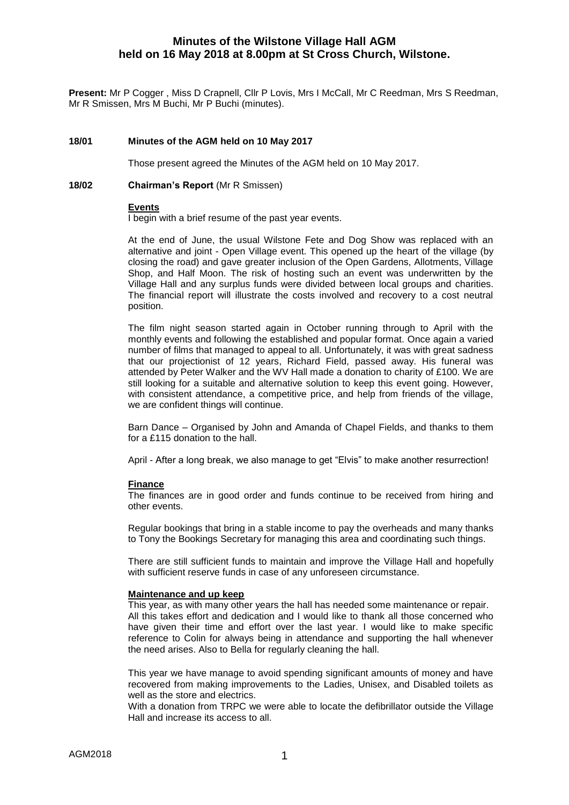# **Minutes of the Wilstone Village Hall AGM held on 16 May 2018 at 8.00pm at St Cross Church, Wilstone.**

**Present:** Mr P Cogger , Miss D Crapnell, Cllr P Lovis, Mrs I McCall, Mr C Reedman, Mrs S Reedman, Mr R Smissen, Mrs M Buchi, Mr P Buchi (minutes).

### **18/01 Minutes of the AGM held on 10 May 2017**

Those present agreed the Minutes of the AGM held on 10 May 2017.

#### **18/02 Chairman's Report** (Mr R Smissen)

#### **Events**

I begin with a brief resume of the past year events.

At the end of June, the usual Wilstone Fete and Dog Show was replaced with an alternative and joint - Open Village event. This opened up the heart of the village (by closing the road) and gave greater inclusion of the Open Gardens, Allotments, Village Shop, and Half Moon. The risk of hosting such an event was underwritten by the Village Hall and any surplus funds were divided between local groups and charities. The financial report will illustrate the costs involved and recovery to a cost neutral position.

The film night season started again in October running through to April with the monthly events and following the established and popular format. Once again a varied number of films that managed to appeal to all. Unfortunately, it was with great sadness that our projectionist of 12 years, Richard Field, passed away. His funeral was attended by Peter Walker and the WV Hall made a donation to charity of £100. We are still looking for a suitable and alternative solution to keep this event going. However, with consistent attendance, a competitive price, and help from friends of the village, we are confident things will continue.

Barn Dance – Organised by John and Amanda of Chapel Fields, and thanks to them for a £115 donation to the hall.

April - After a long break, we also manage to get "Elvis" to make another resurrection!

### **Finance**

The finances are in good order and funds continue to be received from hiring and other events.

Regular bookings that bring in a stable income to pay the overheads and many thanks to Tony the Bookings Secretary for managing this area and coordinating such things.

There are still sufficient funds to maintain and improve the Village Hall and hopefully with sufficient reserve funds in case of any unforeseen circumstance.

### **Maintenance and up keep**

This year, as with many other years the hall has needed some maintenance or repair. All this takes effort and dedication and I would like to thank all those concerned who have given their time and effort over the last year. I would like to make specific reference to Colin for always being in attendance and supporting the hall whenever the need arises. Also to Bella for regularly cleaning the hall.

This year we have manage to avoid spending significant amounts of money and have recovered from making improvements to the Ladies, Unisex, and Disabled toilets as well as the store and electrics.

With a donation from TRPC we were able to locate the defibrillator outside the Village Hall and increase its access to all.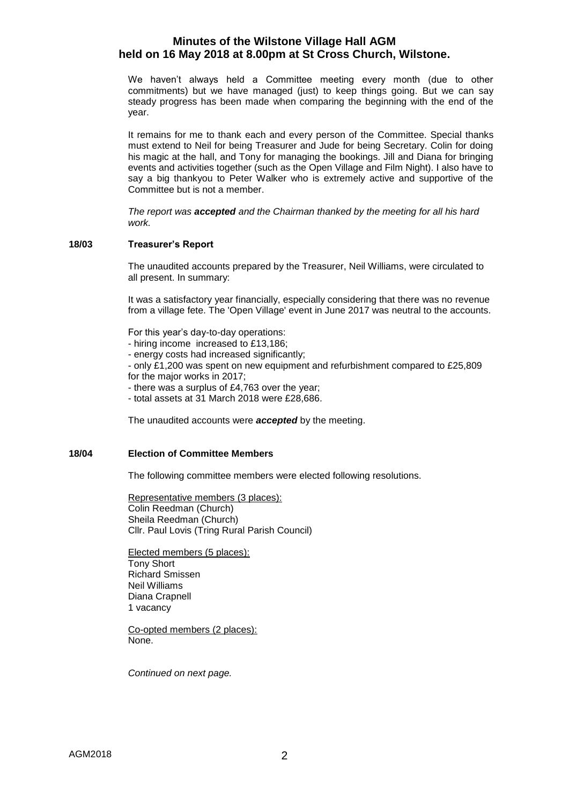# **Minutes of the Wilstone Village Hall AGM held on 16 May 2018 at 8.00pm at St Cross Church, Wilstone.**

We haven't always held a Committee meeting every month (due to other commitments) but we have managed (just) to keep things going. But we can say steady progress has been made when comparing the beginning with the end of the year.

It remains for me to thank each and every person of the Committee. Special thanks must extend to Neil for being Treasurer and Jude for being Secretary. Colin for doing his magic at the hall, and Tony for managing the bookings. Jill and Diana for bringing events and activities together (such as the Open Village and Film Night). I also have to say a big thankyou to Peter Walker who is extremely active and supportive of the Committee but is not a member.

*The report was accepted and the Chairman thanked by the meeting for all his hard work.*

### **18/03 Treasurer's Report**

The unaudited accounts prepared by the Treasurer, Neil Williams, were circulated to all present. In summary:

It was a satisfactory year financially, especially considering that there was no revenue from a village fete. The 'Open Village' event in June 2017 was neutral to the accounts.

For this year's day-to-day operations:

- hiring income increased to £13,186;

- energy costs had increased significantly;

- only £1,200 was spent on new equipment and refurbishment compared to £25,809 for the major works in 2017;

- there was a surplus of £4,763 over the year;

- total assets at 31 March 2018 were £28,686.

The unaudited accounts were *accepted* by the meeting.

### **18/04 Election of Committee Members**

The following committee members were elected following resolutions.

Representative members (3 places): Colin Reedman (Church) Sheila Reedman (Church) Cllr. Paul Lovis (Tring Rural Parish Council)

Elected members (5 places): Tony Short Richard Smissen Neil Williams Diana Crapnell 1 vacancy

Co-opted members (2 places): None.

*Continued on next page.*